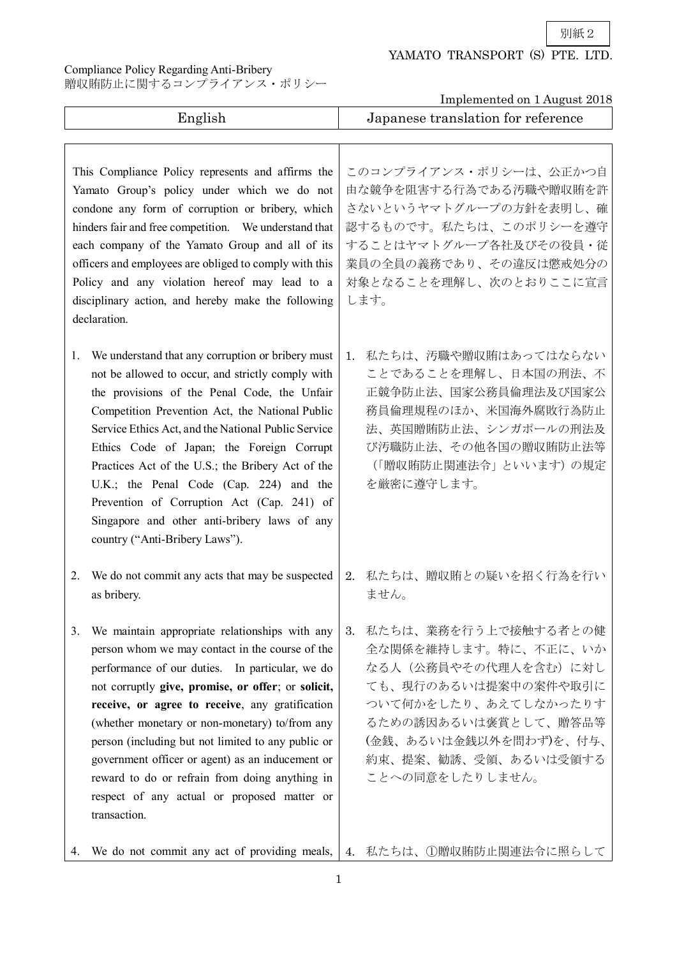別紙2

## YAMATO TRANSPORT (S) PTE. LTD.

Compliance Policy Regarding Anti-Bribery

贈収賄防止に関するコンプライアンス・ポリシー

| Implemented on 1 August 2018                                                                                                                                                                                                                                                                                                                                                                                                                                                                                                                        |                                                                                                                                                                                                                         |
|-----------------------------------------------------------------------------------------------------------------------------------------------------------------------------------------------------------------------------------------------------------------------------------------------------------------------------------------------------------------------------------------------------------------------------------------------------------------------------------------------------------------------------------------------------|-------------------------------------------------------------------------------------------------------------------------------------------------------------------------------------------------------------------------|
| English                                                                                                                                                                                                                                                                                                                                                                                                                                                                                                                                             | Japanese translation for reference                                                                                                                                                                                      |
| This Compliance Policy represents and affirms the<br>Yamato Group's policy under which we do not<br>condone any form of corruption or bribery, which<br>hinders fair and free competition. We understand that<br>each company of the Yamato Group and all of its<br>officers and employees are obliged to comply with this<br>Policy and any violation hereof may lead to a<br>disciplinary action, and hereby make the following<br>declaration.                                                                                                   | このコンプライアンス・ポリシーは、公正かつ自<br>由な競争を阻害する行為である汚職や贈収賄を許<br>さないというヤマトグループの方針を表明し、確<br>認するものです。私たちは、このポリシーを遵守<br>することはヤマトグループ各社及びその役員・従<br>業員の全員の義務であり、その違反は懲戒処分の<br>対象となることを理解し、次のとおりここに宣言<br>します。                              |
| We understand that any corruption or bribery must<br>1.<br>not be allowed to occur, and strictly comply with<br>the provisions of the Penal Code, the Unfair<br>Competition Prevention Act, the National Public<br>Service Ethics Act, and the National Public Service<br>Ethics Code of Japan; the Foreign Corrupt<br>Practices Act of the U.S.; the Bribery Act of the<br>U.K.; the Penal Code (Cap. 224) and the<br>Prevention of Corruption Act (Cap. 241) of<br>Singapore and other anti-bribery laws of any<br>country ("Anti-Bribery Laws"). | 私たちは、汚職や贈収賄はあってはならない<br>1.<br>ことであることを理解し、日本国の刑法、不<br>正競争防止法、国家公務員倫理法及び国家公<br>務員倫理規程のほか、米国海外腐敗行為防止<br>法、英国贈賄防止法、シンガポールの刑法及<br>び汚職防止法、その他各国の贈収賄防止法等<br>(「贈収賄防止関連法令」といいます)の規定<br>を厳密に遵守します。                               |
| We do not commit any acts that may be suspected<br>2.<br>as bribery.                                                                                                                                                                                                                                                                                                                                                                                                                                                                                | 私たちは、贈収賄との疑いを招く行為を行い<br>2.<br>ません。                                                                                                                                                                                      |
| We maintain appropriate relationships with any<br>3.<br>person whom we may contact in the course of the<br>performance of our duties. In particular, we do<br>not corruptly give, promise, or offer; or solicit,<br>receive, or agree to receive, any gratification<br>(whether monetary or non-monetary) to/from any<br>person (including but not limited to any public or<br>government officer or agent) as an inducement or<br>reward to do or refrain from doing anything in<br>respect of any actual or proposed matter or<br>transaction.    | 私たちは、業務を行う上で接触する者との健<br>3.<br>全な関係を維持します。特に、不正に、いか<br>なる人(公務員やその代理人を含む)に対し<br>ても、現行のあるいは提案中の案件や取引に<br>ついて何かをしたり、あえてしなかったりす<br>るための誘因あるいは褒賞として、贈答品等<br>(金銭、あるいは金銭以外を問わず)を、付与、<br>約束、提案、勧誘、受領、あるいは受領する<br>ことへの同意をしたりしません。 |

4. We do not commit any act of providing meals, 4. 私たちは、①贈収賄防止関連法令に照らして